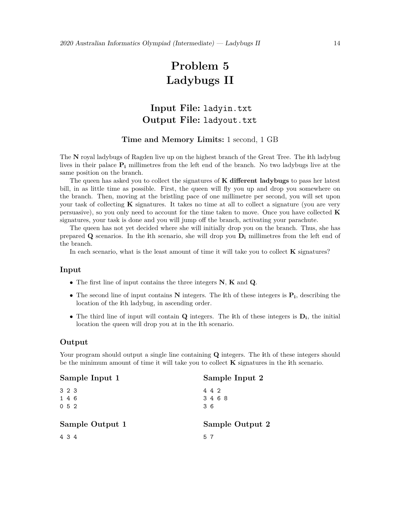# **Problem 5 Ladybugs II**

# **Input File:** ladyin.txt **Output File:** ladyout.txt

### **Time and Memory Limits:** 1 second, 1 GB

The **N** royal ladybugs of Ragden live up on the highest branch of the Great Tree. The **i**th ladybug lives in their palace **P<sup>i</sup>** millimetres from the left end of the branch. No two ladybugs live at the same position on the branch.

The queen has asked you to collect the signatures of **K dierent ladybugs** to pass her latest bill, in as little time as possible. First, the queen will fly you up and drop you somewhere on the branch. Then, moving at the bristling pace of one millimetre per second, you will set upon your task of collecting **K** signatures. It takes no time at all to collect a signature (you are very persuasive), so you only need to account for the time taken to move. Once you have collected **K** signatures, your task is done and you will jump off the branch, activating your parachute.

The queen has not yet decided where she will initially drop you on the branch. Thus, she has prepared **Q** scenarios. In the **i**th scenario, she will drop you  $D_i$  millimetres from the left end of the branch.

In each scenario, what is the least amount of time it will take you to collect **K** signatures?

#### **Input**

- *•* The first line of input contains the three integers **N**, **K** and **Q**.
- *•* The second line of input contains **N** integers. The **i**th of these integers is **Pi**, describing the location of the **i**th ladybug, in ascending order.
- *•* The third line of input will contain **Q** integers. The **i**th of these integers is **Di**, the initial location the queen will drop you at in the **i**th scenario.

#### **Output**

Your program should output a single line containing **Q** integers. The **i**th of these integers should be the minimum amount of time it will take you to collect **K** signatures in the **i**th scenario.

| Sample Input 1        | Sample Input 2      |
|-----------------------|---------------------|
| 3 2 3<br>1 4 6<br>052 | 4 4 2<br>3468<br>36 |
| Sample Output 1       | Sample Output 2     |
| 4 3 4                 | 57                  |
|                       |                     |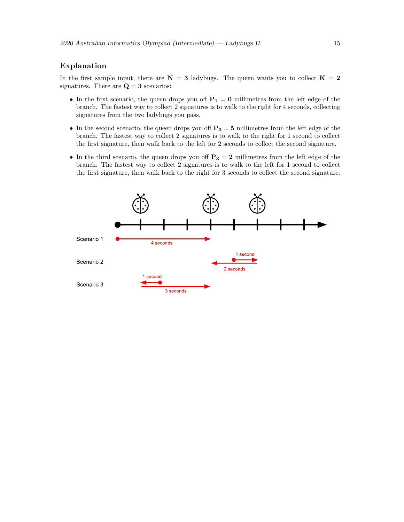# **Explanation**

In the first sample input, there are  $N = 3$  ladybugs. The queen wants you to collect  $K = 2$ signatures. There are  $Q = 3$  scenarios:

- In the first scenario, the queen drops you off  $P_1 = 0$  millimetres from the left edge of the branch. The fastest way to collect 2 signatures is to walk to the right for 4 seconds, collecting signatures from the two ladybugs you pass.
- In the second scenario, the queen drops you of  $P_2 = 5$  millimetres from the left edge of the branch. The fastest way to collect 2 signatures is to walk to the right for 1 second to collect the first signature, then walk back to the left for 2 seconds to collect the second signature.
- In the third scenario, the queen drops you off  $P_3 = 2$  millimetres from the left edge of the branch. The fastest way to collect 2 signatures is to walk to the left for 1 second to collect the first signature, then walk back to the right for 3 seconds to collect the second signature.